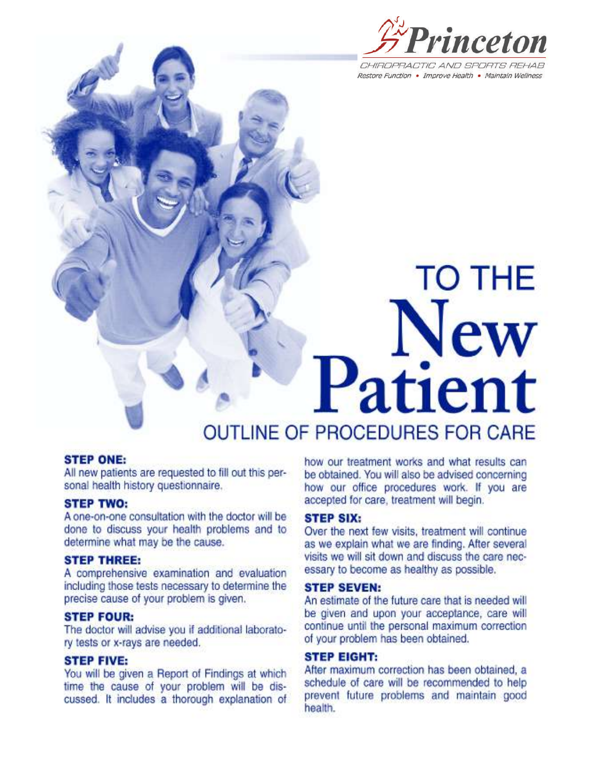

CHIROPRACTIC AND SPORTS REHAR Restore Function . Improve Health . Maintain Wellness

**TO THE** 

# New Patient **OUTLINE OF PROCEDURES FOR CARE**

# **STEP ONE:**

All new patients are requested to fill out this personal health history questionnaire.

# **STEP TWO:**

A one-on-one consultation with the doctor will be done to discuss your health problems and to determine what may be the cause.

# **STEP THREE:**

A comprehensive examination and evaluation including those tests necessary to determine the precise cause of your problem is given.

## **STEP FOUR:**

The doctor will advise you if additional laboratory tests or x-rays are needed.

# **STEP FIVE:**

You will be given a Report of Findings at which time the cause of your problem will be discussed. It includes a thorough explanation of

how our treatment works and what results can be obtained. You will also be advised concerning how our office procedures work. If you are accepted for care, treatment will begin.

## **STEP SIX:**

Over the next few visits, treatment will continue as we explain what we are finding. After several visits we will sit down and discuss the care necessary to become as healthy as possible.

# **STEP SEVEN:**

An estimate of the future care that is needed will be given and upon your acceptance, care will continue until the personal maximum correction of your problem has been obtained.

# **STEP EIGHT:**

After maximum correction has been obtained, a schedule of care will be recommended to help prevent future problems and maintain good health.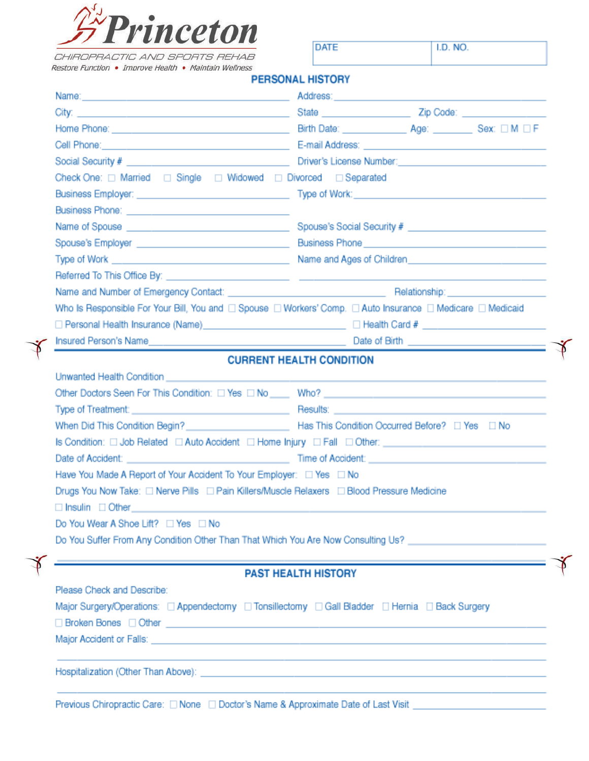

CHIROPRACTIC AND SPORTS REHAB

**DATE** 

I.D. NO.

Restore Function . Improve Health . Maintain Wellness **DEDCOMAL LICTORY** 

|                                                                                                                                                                                                                                                                                                                                                                                                                                                                                                                                                                                                                                                                                                                                                                                                                                                                                                            | <b>PERSONAL HISTORY</b>                                                                                                                                                                                                                                                                                  |  |  |  |
|------------------------------------------------------------------------------------------------------------------------------------------------------------------------------------------------------------------------------------------------------------------------------------------------------------------------------------------------------------------------------------------------------------------------------------------------------------------------------------------------------------------------------------------------------------------------------------------------------------------------------------------------------------------------------------------------------------------------------------------------------------------------------------------------------------------------------------------------------------------------------------------------------------|----------------------------------------------------------------------------------------------------------------------------------------------------------------------------------------------------------------------------------------------------------------------------------------------------------|--|--|--|
| Name: 1980 - 1980 - 1980 - 1980 - 1980 - 1980 - 1980 - 1980 - 1980 - 1980 - 1980 - 1980 - 1980 - 1980 - 1980 -                                                                                                                                                                                                                                                                                                                                                                                                                                                                                                                                                                                                                                                                                                                                                                                             |                                                                                                                                                                                                                                                                                                          |  |  |  |
|                                                                                                                                                                                                                                                                                                                                                                                                                                                                                                                                                                                                                                                                                                                                                                                                                                                                                                            |                                                                                                                                                                                                                                                                                                          |  |  |  |
| Home Phone: Sex: 0 M O F                                                                                                                                                                                                                                                                                                                                                                                                                                                                                                                                                                                                                                                                                                                                                                                                                                                                                   |                                                                                                                                                                                                                                                                                                          |  |  |  |
| Cell Phone: <u>All Andress: All Andress: All Andress: All Andress: All Andress: All Andress: All Andress: All Andress: All Andress: All Andress: All Andress: All Andress: All Andress: All Andress: All Andress: All Andress: A</u>                                                                                                                                                                                                                                                                                                                                                                                                                                                                                                                                                                                                                                                                       |                                                                                                                                                                                                                                                                                                          |  |  |  |
|                                                                                                                                                                                                                                                                                                                                                                                                                                                                                                                                                                                                                                                                                                                                                                                                                                                                                                            |                                                                                                                                                                                                                                                                                                          |  |  |  |
|                                                                                                                                                                                                                                                                                                                                                                                                                                                                                                                                                                                                                                                                                                                                                                                                                                                                                                            | Check One: □ Married □ Single □ Widowed □ Divorced □ Separated                                                                                                                                                                                                                                           |  |  |  |
|                                                                                                                                                                                                                                                                                                                                                                                                                                                                                                                                                                                                                                                                                                                                                                                                                                                                                                            |                                                                                                                                                                                                                                                                                                          |  |  |  |
|                                                                                                                                                                                                                                                                                                                                                                                                                                                                                                                                                                                                                                                                                                                                                                                                                                                                                                            |                                                                                                                                                                                                                                                                                                          |  |  |  |
|                                                                                                                                                                                                                                                                                                                                                                                                                                                                                                                                                                                                                                                                                                                                                                                                                                                                                                            | Name of Spouse entry and the state of Spouse's Social Security #<br>Business Phone <b>contract the contract of the Contract of the Contract of the Contract of the Contract of the Contract of the Contract of the Contract of the Contract of the Contract of the Contract of the Contract of the C</b> |  |  |  |
|                                                                                                                                                                                                                                                                                                                                                                                                                                                                                                                                                                                                                                                                                                                                                                                                                                                                                                            |                                                                                                                                                                                                                                                                                                          |  |  |  |
|                                                                                                                                                                                                                                                                                                                                                                                                                                                                                                                                                                                                                                                                                                                                                                                                                                                                                                            |                                                                                                                                                                                                                                                                                                          |  |  |  |
|                                                                                                                                                                                                                                                                                                                                                                                                                                                                                                                                                                                                                                                                                                                                                                                                                                                                                                            |                                                                                                                                                                                                                                                                                                          |  |  |  |
|                                                                                                                                                                                                                                                                                                                                                                                                                                                                                                                                                                                                                                                                                                                                                                                                                                                                                                            |                                                                                                                                                                                                                                                                                                          |  |  |  |
| Who Is Responsible For Your Bill, You and $\Box$ Spouse $\Box$ Workers' Comp. $\Box$ Auto Insurance $\Box$ Medicare $\Box$ Medicaid                                                                                                                                                                                                                                                                                                                                                                                                                                                                                                                                                                                                                                                                                                                                                                        |                                                                                                                                                                                                                                                                                                          |  |  |  |
|                                                                                                                                                                                                                                                                                                                                                                                                                                                                                                                                                                                                                                                                                                                                                                                                                                                                                                            | □ Personal Health Insurance (Name) _________________________________ □ Health Card # _________________________                                                                                                                                                                                           |  |  |  |
| Insured Person's Name entertainment and the Date of Birth entertainment and the Date of Birth entertainment and the Date of Birth entertainment and the Date of Birth entertainment and the Date of Birth entertainment and th                                                                                                                                                                                                                                                                                                                                                                                                                                                                                                                                                                                                                                                                             |                                                                                                                                                                                                                                                                                                          |  |  |  |
| Unwanted Health Condition <b>Experimental Condition Condition Condition Condition</b><br>Type of Treatment: <b>All and Science Community Control</b> Results: <b>Community Community Community Community</b> Community<br>Is Condition: □ Job Related □ Auto Accident □ Home Injury □ Fall □ Other: _________________________<br>Date of Accident: Notice and Society and Society and Society and Society and Society and Society and Society and Society and Society and Society and Society and Society and Society and Society and Society and Society and S<br>Have You Made A Report of Your Accident To Your Employer: $\Box$ Yes $\Box$ No<br>Drugs You Now Take: □ Nerve Pills □ Pain Killers/Muscle Relaxers □ Blood Pressure Medicine<br>$\Box$ Insulin $\Box$ Other<br>Do You Wear A Shoe Lift? □ Yes □ No<br>Do You Suffer From Any Condition Other Than That Which You Are Now Consulting Us? |                                                                                                                                                                                                                                                                                                          |  |  |  |
| and the control of the control of the control of the control of the control of the control of<br>Please Check and Describe:<br>Major Surgery/Operations: [ Appendectomy   Tonsillectomy   Gall Bladder   Hernia   Back Surgery<br>Major Accident or Falls: University of Contractor Contractor Contractor Contractor Contractor Contractor Contractor                                                                                                                                                                                                                                                                                                                                                                                                                                                                                                                                                      | <b>PAST HEALTH HISTORY</b>                                                                                                                                                                                                                                                                               |  |  |  |
|                                                                                                                                                                                                                                                                                                                                                                                                                                                                                                                                                                                                                                                                                                                                                                                                                                                                                                            | and the control of the control of the control of the control of the control of the control of the control of the                                                                                                                                                                                         |  |  |  |
| Previous Chiropractic Care: □ None □ Doctor's Name & Approximate Date of Last Visit                                                                                                                                                                                                                                                                                                                                                                                                                                                                                                                                                                                                                                                                                                                                                                                                                        |                                                                                                                                                                                                                                                                                                          |  |  |  |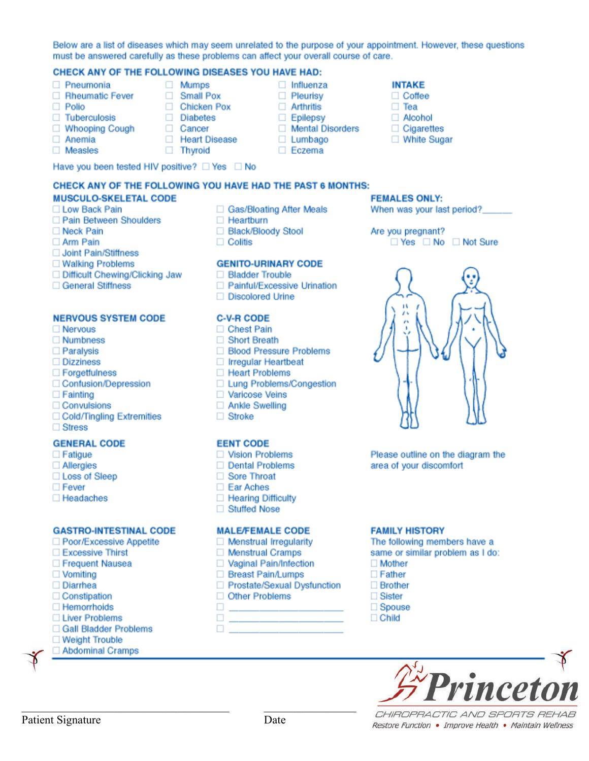#### Below are a list of diseases which may seem unrelated to the purpose of your appointment. However, these questions must be answered carefully as these problems can affect your overall course of care.

 $\Box$  Influenza

 $\Box$  Pleurisy

□ Arthritis

 $\Box$  Epilepsy

 $\Box$  Lumbago

□ Eczema

Mental Disorders

#### CHECK ANY OF THE FOLLOWING DISEASES YOU HAVE HAD: □ Mumps

- Pneumonia
- Rheumatic Fever
- $\Box$  Polio
- □ Tuberculosis
- □ Whooping Cough
- □ Anemia
- $\Box$  Measles
- □ Chicken Pox □ Diabetes
- □ Cancer
- □ Heart Disease
	- □ Thyroid

Small Pox

Have you been tested HIV positive? □ Yes □ No

# CHECK ANY OF THE FOLLOWING YOU HAVE HAD THE PAST 6 MONTHS:

# **MUSCULO-SKELETAL CODE**

- □ Low Back Pain
- Pain Between Shoulders
- □ Neck Pain
- □ Arm Pain
- Joint Pain/Stiffness
- □ Walking Problems
- □ Difficult Chewing/Clicking Jaw
- General Stiffness

#### **NERVOUS SYSTEM CODE**

- $\Box$  Nervous
- $\Box$  Numbness
- Paralysis
- □ Dizziness
- □ Forgetfulness
- Confusion/Depression
- $\Box$  Fainting
- □ Convulsions
- □ Cold/Tingling Extremities
- □ Stress

#### **GENERAL CODE**

- $\Box$  Fatigue
- Allergies
- □ Loss of Sleep
- $\Box$  Fever
- □ Headaches

#### **GASTRO-INTESTINAL CODE**

- □ Poor/Excessive Appetite
- □ Excessive Thirst
- □ Frequent Nausea
- $\Box$  Vomiting
- □ Diarrhea
- □ Constipation
- □ Hemorrhoids
- □ Liver Problems
- Gall Bladder Problems
- □ Weight Trouble
- 
- Abdominal Cramps
- □ Gas/Bloating After Meals  $\Box$  Heartburn
- □ Black/Bloody Stool
- $\Box$  Colitis

#### **GENITO-URINARY CODE**

- **Bladder Trouble**
- □ Painful/Excessive Urination
- □ Discolored Urine

## **C-V-R CODE**

- $\Box$  Chest Pain
- □ Short Breath
- □ Blood Pressure Problems
- $\Box$  Irregular Heartbeat
- □ Heart Problems
- □ Lung Problems/Congestion
- □ Varicose Veins
- □ Ankle Swelling
- $\Box$  Stroke

#### **EENT CODE**

- □ Vision Problems
- □ Dental Problems
- Sore Throat
- □ Ear Aches
- □ Hearing Difficulty
- □ Stuffed Nose

#### **MALE/FEMALE CODE**

- $\Box$  Menstrual Irregularity
- □ Menstrual Cramps
- □ Vaginal Pain/Infection
- □ Breast Pain/Lumps
- □ Prostate/Sexual Dysfunction

Date

□ Other Problems **District Control** 

 $\Box$ 

Ω.

- The following members have a same or similar problem as I do:
	- $\Box$  Mother
		- $\Box$  Father

**FAMILY HISTORY** 

- $\Box$  Brother
- $\Box$  Sister
- $\Box$  Spouse
- $\Box$  Child



CHIROPRACTIC AND SPORTS REHAB Restore Function • Improve Health • Maintain Wellness

Please outline on the diagram the area of your discomfort



□ Yes □ No □ Not Sure

#### **INTAKE** □ Coffee  $\Box$  Tea

□ Alcohol

**FEMALES ONLY:** 

Are you pregnant?

 $\Box$  Cigarettes

□ White Sugar

When was your last period?\_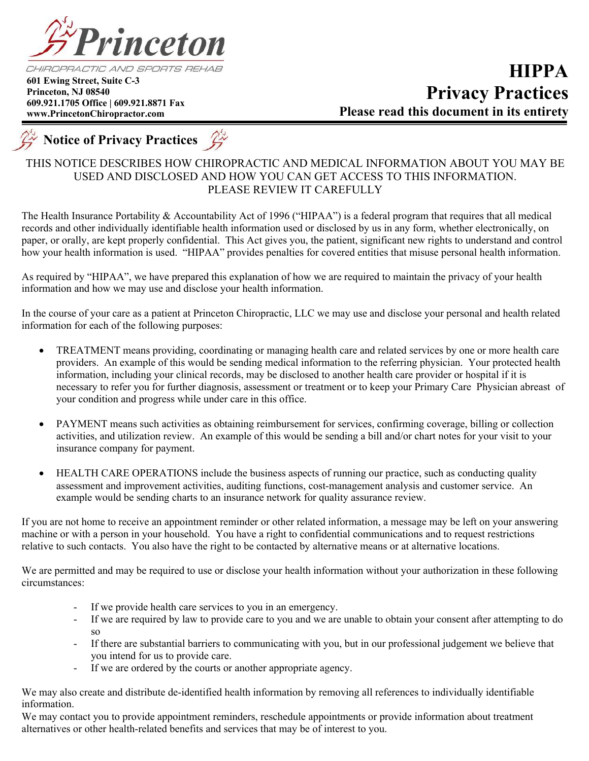

 **601 Ewing Street, Suite C-3 Princeton, NJ 08540 609.921.1705 Office | 609.921.8871 Fax www.PrincetonChiropractor.com**



# THIS NOTICE DESCRIBES HOW CHIROPRACTIC AND MEDICAL INFORMATION ABOUT YOU MAY BE USED AND DISCLOSED AND HOW YOU CAN GET ACCESS TO THIS INFORMATION. PLEASE REVIEW IT CAREFULLY

The Health Insurance Portability & Accountability Act of 1996 ("HIPAA") is a federal program that requires that all medical records and other individually identifiable health information used or disclosed by us in any form, whether electronically, on paper, or orally, are kept properly confidential. This Act gives you, the patient, significant new rights to understand and control how your health information is used. "HIPAA" provides penalties for covered entities that misuse personal health information.

As required by "HIPAA", we have prepared this explanation of how we are required to maintain the privacy of your health information and how we may use and disclose your health information.

In the course of your care as a patient at Princeton Chiropractic, LLC we may use and disclose your personal and health related information for each of the following purposes:

- TREATMENT means providing, coordinating or managing health care and related services by one or more health care providers. An example of this would be sending medical information to the referring physician. Your protected health information, including your clinical records, may be disclosed to another health care provider or hospital if it is necessary to refer you for further diagnosis, assessment or treatment or to keep your Primary Care Physician abreast of your condition and progress while under care in this office.
- PAYMENT means such activities as obtaining reimbursement for services, confirming coverage, billing or collection activities, and utilization review. An example of this would be sending a bill and/or chart notes for your visit to your insurance company for payment.
- HEALTH CARE OPERATIONS include the business aspects of running our practice, such as conducting quality assessment and improvement activities, auditing functions, cost-management analysis and customer service. An example would be sending charts to an insurance network for quality assurance review.

If you are not home to receive an appointment reminder or other related information, a message may be left on your answering machine or with a person in your household. You have a right to confidential communications and to request restrictions relative to such contacts. You also have the right to be contacted by alternative means or at alternative locations.

We are permitted and may be required to use or disclose your health information without your authorization in these following circumstances:

- If we provide health care services to you in an emergency.
- If we are required by law to provide care to you and we are unable to obtain your consent after attempting to do so
- If there are substantial barriers to communicating with you, but in our professional judgement we believe that you intend for us to provide care.
- If we are ordered by the courts or another appropriate agency.

We may also create and distribute de-identified health information by removing all references to individually identifiable information.

We may contact you to provide appointment reminders, reschedule appointments or provide information about treatment alternatives or other health-related benefits and services that may be of interest to you.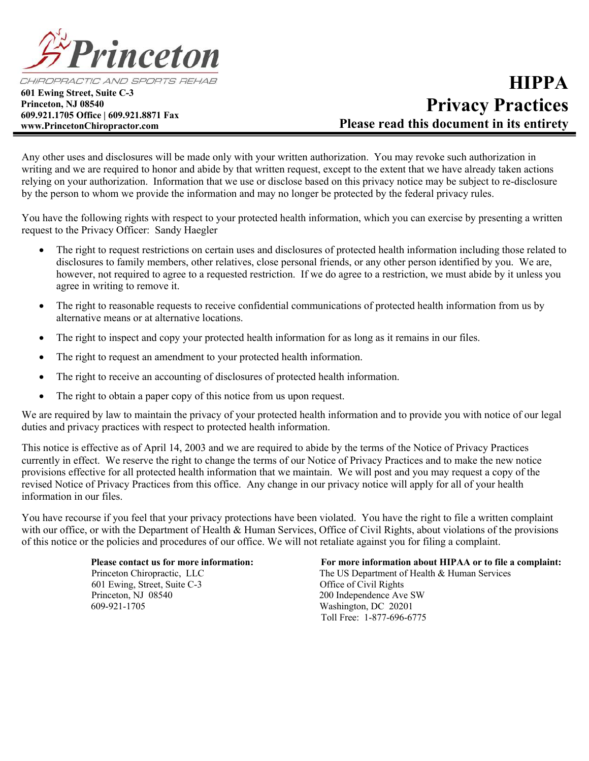

CHIROPRACTIC AND SPORTS REHAB

 **601 Ewing Street, Suite C-3 Princeton, NJ 08540 609.921.1705 Office | 609.921.8871 Fax www.PrincetonChiropractor.com**

# **HIPPA Privacy Practices Please read this document in its entirety**

Any other uses and disclosures will be made only with your written authorization. You may revoke such authorization in writing and we are required to honor and abide by that written request, except to the extent that we have already taken actions relying on your authorization. Information that we use or disclose based on this privacy notice may be subject to re-disclosure by the person to whom we provide the information and may no longer be protected by the federal privacy rules.

You have the following rights with respect to your protected health information, which you can exercise by presenting a written request to the Privacy Officer: Sandy Haegler

- The right to request restrictions on certain uses and disclosures of protected health information including those related to disclosures to family members, other relatives, close personal friends, or any other person identified by you. We are, however, not required to agree to a requested restriction. If we do agree to a restriction, we must abide by it unless you agree in writing to remove it.
- The right to reasonable requests to receive confidential communications of protected health information from us by alternative means or at alternative locations.
- The right to inspect and copy your protected health information for as long as it remains in our files.
- The right to request an amendment to your protected health information.
- The right to receive an accounting of disclosures of protected health information.
- The right to obtain a paper copy of this notice from us upon request.

We are required by law to maintain the privacy of your protected health information and to provide you with notice of our legal duties and privacy practices with respect to protected health information.

This notice is effective as of April 14, 2003 and we are required to abide by the terms of the Notice of Privacy Practices currently in effect. We reserve the right to change the terms of our Notice of Privacy Practices and to make the new notice provisions effective for all protected health information that we maintain. We will post and you may request a copy of the revised Notice of Privacy Practices from this office. Any change in our privacy notice will apply for all of your health information in our files.

You have recourse if you feel that your privacy protections have been violated. You have the right to file a written complaint with our office, or with the Department of Health & Human Services, Office of Civil Rights, about violations of the provisions of this notice or the policies and procedures of our office. We will not retaliate against you for filing a complaint.

> 601 Ewing, Street, Suite C-3 Office of Civil Rights Princeton, NJ 08540 200 Independence Ave SW 609-921-1705 Washington, DC 20201

 **Please contact us for more information: For more information about HIPAA or to file a complaint:** Princeton Chiropractic, LLC The US Department of Health & Human Services Toll Free: 1-877-696-6775